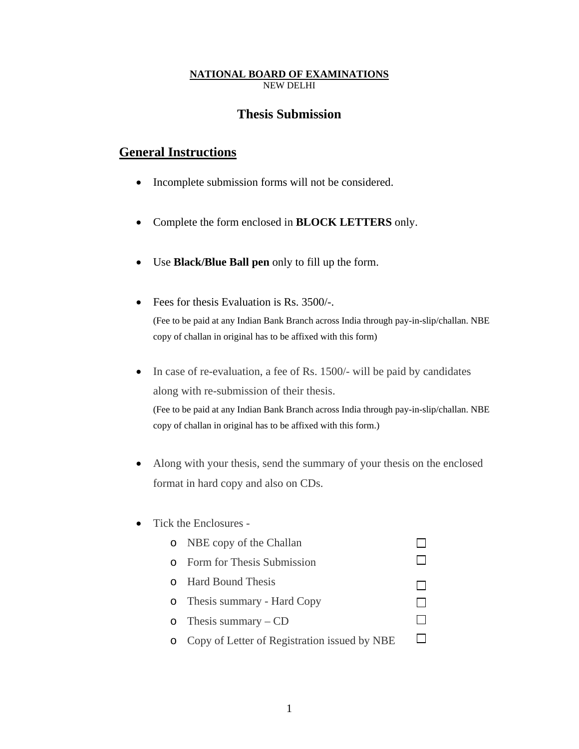## **NATIONAL BOARD OF EXAMINATIONS** NEW DELHI

# **Thesis Submission**

# **General Instructions**

- Incomplete submission forms will not be considered.
- Complete the form enclosed in **BLOCK LETTERS** only.
- Use **Black/Blue Ball pen** only to fill up the form.
- Fees for thesis Evaluation is Rs. 3500/-. (Fee to be paid at any Indian Bank Branch across India through pay-in-slip/challan. NBE copy of challan in original has to be affixed with this form)
- In case of re-evaluation, a fee of Rs. 1500/- will be paid by candidates along with re-submission of their thesis.

(Fee to be paid at any Indian Bank Branch across India through pay-in-slip/challan. NBE copy of challan in original has to be affixed with this form.)

- Along with your thesis, send the summary of your thesis on the enclosed format in hard copy and also on CDs.
- Tick the Enclosures -

|          | o NBE copy of the Challan                    |  |
|----------|----------------------------------------------|--|
| $\Omega$ | Form for Thesis Submission                   |  |
|          | o Hard Bound Thesis                          |  |
|          | o Thesis summary - Hard Copy                 |  |
|          | o Thesis summary $-CD$                       |  |
|          | Copy of Letter of Registration issued by NBE |  |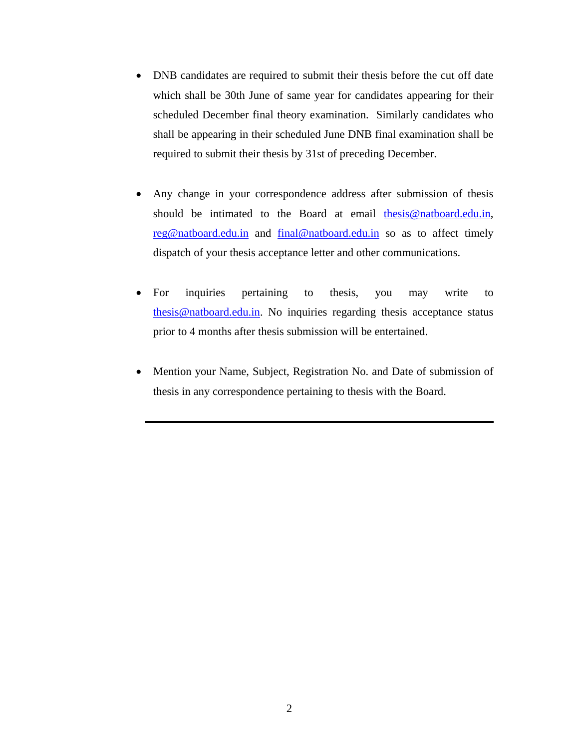- DNB candidates are required to submit their thesis before the cut off date which shall be 30th June of same year for candidates appearing for their scheduled December final theory examination. Similarly candidates who shall be appearing in their scheduled June DNB final examination shall be required to submit their thesis by 31st of preceding December.
- Any change in your correspondence address after submission of thesis should be intimated to the Board at email thesis@natboard.edu.in, reg@natboard.edu.in and final@natboard.edu.in so as to affect timely dispatch of your thesis acceptance letter and other communications.
- For inquiries pertaining to thesis, you may write to thesis@natboard.edu.in. No inquiries regarding thesis acceptance status prior to 4 months after thesis submission will be entertained.
- Mention your Name, Subject, Registration No. and Date of submission of thesis in any correspondence pertaining to thesis with the Board.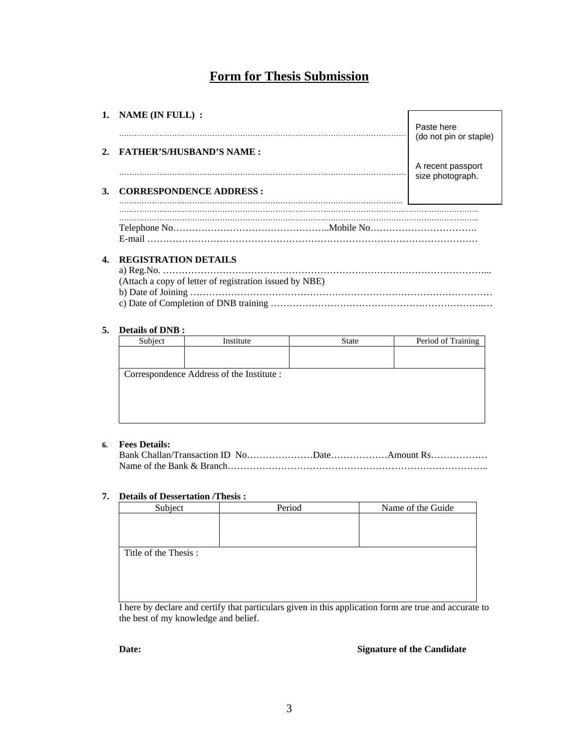# **Form for Thesis Submission**

|         | 1. NAME (IN FULL) :             | Paste here<br>(do not pin or staple)  |
|---------|---------------------------------|---------------------------------------|
| $2_{1}$ | <b>FATHER'S/HUSBAND'S NAME:</b> | A recent passport<br>size photograph. |
| 3.      | <b>CORRESPONDENCE ADDRESS:</b>  |                                       |
|         | E-mail                          |                                       |

## **4. REGISTRATION DETAILS**

| (Attach a copy of letter of registration issued by NBE) |
|---------------------------------------------------------|
|                                                         |
|                                                         |

### **5. Details of DNB :**

| Subject                                   | Institute | <b>State</b> | Period of Training |
|-------------------------------------------|-----------|--------------|--------------------|
|                                           |           |              |                    |
|                                           |           |              |                    |
| Correspondence Address of the Institute : |           |              |                    |
|                                           |           |              |                    |
|                                           |           |              |                    |
|                                           |           |              |                    |
|                                           |           |              |                    |
|                                           |           |              |                    |

## **6. Fees Details:**

### **7. Details of Dessertation /Thesis :**

| Subject              | Period | Name of the Guide |
|----------------------|--------|-------------------|
|                      |        |                   |
|                      |        |                   |
|                      |        |                   |
| Title of the Thesis: |        |                   |
|                      |        |                   |
|                      |        |                   |
|                      |        |                   |
|                      |        |                   |

I here by declare and certify that particulars given in this application form are true and accurate to the best of my knowledge and belief.

**Date: Signature of the Candidate**